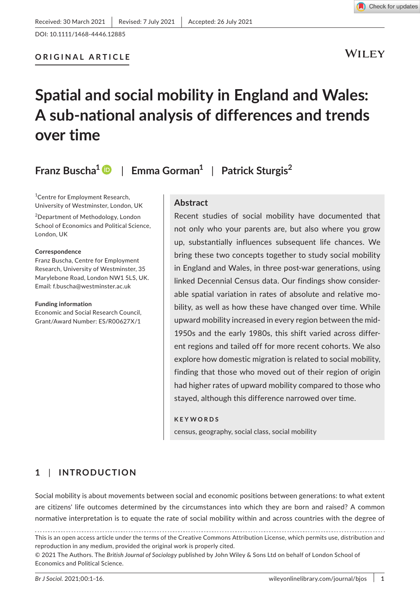WILEY

Check for updates

# **Spatial and social mobility in England and Wales: A sub-national analysis of differences and trends over time**

**Franz Buscha[1](https://orcid.org/0000-0001-7681-7664)** | **Emma Gorman<sup>1</sup>** | **Patrick Sturgis<sup>2</sup>**

1 Centre for Employment Research, University of Westminster, London, UK

2 Department of Methodology, London School of Economics and Political Science, London, UK

#### **Correspondence**

Franz Buscha, Centre for Employment Research, University of Westminster, 35 Marylebone Road, London NW1 5LS, UK. Email: [f.buscha@westminster.ac.uk](mailto:f.buscha@westminster.ac.uk)

#### **Funding information**

Economic and Social Research Council, Grant/Award Number: ES/R00627X/1

#### **Abstract**

Recent studies of social mobility have documented that not only who your parents are, but also where you grow up, substantially influences subsequent life chances. We bring these two concepts together to study social mobility in England and Wales, in three post-war generations, using linked Decennial Census data. Our findings show considerable spatial variation in rates of absolute and relative mobility, as well as how these have changed over time. While upward mobility increased in every region between the mid-1950s and the early 1980s, this shift varied across different regions and tailed off for more recent cohorts. We also explore how domestic migration is related to social mobility, finding that those who moved out of their region of origin had higher rates of upward mobility compared to those who stayed, although this difference narrowed over time.

#### **KEYWORDS**

census, geography, social class, social mobility

# **1** | **INTRODUCTION**

Social mobility is about movements between social and economic positions between generations: to what extent are citizens' life outcomes determined by the circumstances into which they are born and raised? A common normative interpretation is to equate the rate of social mobility within and across countries with the degree of

This is an open access article under the terms of the [Creative Commons Attribution](http://creativecommons.org/licenses/by/4.0/) License, which permits use, distribution and reproduction in any medium, provided the original work is properly cited.

© 2021 The Authors. The *British Journal of Sociology* published by John Wiley & Sons Ltd on behalf of London School of Economics and Political Science.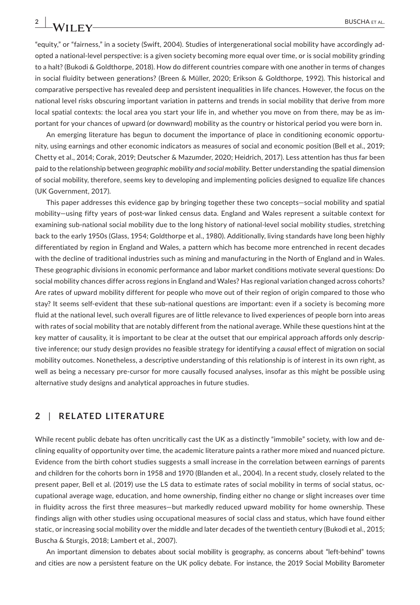"equity," or "fairness," in a society (Swift, 2004). Studies of intergenerational social mobility have accordingly adopted a national-level perspective: is a given society becoming more equal over time, or is social mobility grinding to a halt? (Bukodi & Goldthorpe, 2018). How do different countries compare with one another in terms of changes in social fluidity between generations? (Breen & Müller, 2020; Erikson & Goldthorpe, 1992). This historical and comparative perspective has revealed deep and persistent inequalities in life chances. However, the focus on the national level risks obscuring important variation in patterns and trends in social mobility that derive from more local spatial contexts: the local area you start your life in, and whether you move on from there, may be as important for your chances of upward (or downward) mobility as the country or historical period you were born in.

An emerging literature has begun to document the importance of place in conditioning economic opportunity, using earnings and other economic indicators as measures of social and economic position (Bell et al., 2019; Chetty et al., 2014; Corak, 2019; Deutscher & Mazumder, 2020; Heidrich, 2017). Less attention has thus far been paid to the relationship between *geographic mobility and social mobility*. Better understanding the spatial dimension of social mobility, therefore, seems key to developing and implementing policies designed to equalize life chances (UK Government, 2017).

This paper addresses this evidence gap by bringing together these two concepts—social mobility and spatial mobility—using fifty years of post-war linked census data. England and Wales represent a suitable context for examining sub-national social mobility due to the long history of national-level social mobility studies, stretching back to the early 1950s (Glass, 1954; Goldthorpe et al., 1980). Additionally, living standards have long been highly differentiated by region in England and Wales, a pattern which has become more entrenched in recent decades with the decline of traditional industries such as mining and manufacturing in the North of England and in Wales. These geographic divisions in economic performance and labor market conditions motivate several questions: Do social mobility chances differ across regions in England and Wales? Has regional variation changed across cohorts? Are rates of upward mobility different for people who move out of their region of origin compared to those who stay? It seems self-evident that these sub-national questions are important: even if a society is becoming more fluid at the national level, such overall figures are of little relevance to lived experiences of people born into areas with rates of social mobility that are notably different from the national average. While these questions hint at the key matter of causality, it is important to be clear at the outset that our empirical approach affords only descriptive inference; our study design provides no feasible strategy for identifying a *causal* effect of migration on social mobility outcomes. Nonetheless, a descriptive understanding of this relationship is of interest in its own right, as well as being a necessary pre-cursor for more causally focused analyses, insofar as this might be possible using alternative study designs and analytical approaches in future studies.

# **2** | **RELATED LITERATURE**

While recent public debate has often uncritically cast the UK as a distinctly "immobile" society, with low and declining equality of opportunity over time, the academic literature paints a rather more mixed and nuanced picture. Evidence from the birth cohort studies suggests a small increase in the correlation between earnings of parents and children for the cohorts born in 1958 and 1970 (Blanden et al., 2004). In a recent study, closely related to the present paper, Bell et al. (2019) use the LS data to estimate rates of social mobility in terms of social status, occupational average wage, education, and home ownership, finding either no change or slight increases over time in fluidity across the first three measures—but markedly reduced upward mobility for home ownership. These findings align with other studies using occupational measures of social class and status, which have found either static, or increasing social mobility over the middle and later decades of the twentieth century (Bukodi et al., 2015; Buscha & Sturgis, 2018; Lambert et al., 2007).

An important dimension to debates about social mobility is geography, as concerns about "left-behind" towns and cities are now a persistent feature on the UK policy debate. For instance, the 2019 Social Mobility Barometer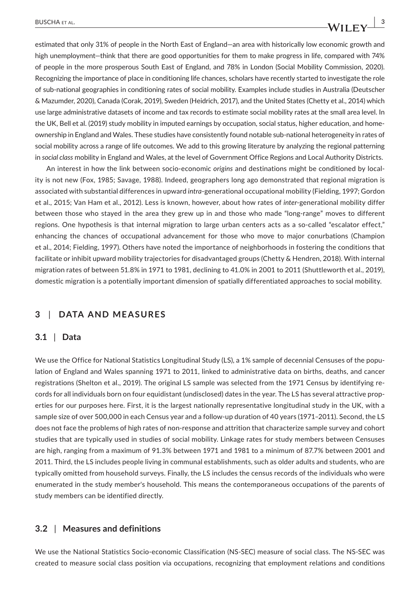estimated that only 31% of people in the North East of England—an area with historically low economic growth and high unemployment—think that there are good opportunities for them to make progress in life, compared with 74% of people in the more prosperous South East of England, and 78% in London (Social Mobility Commission, 2020). Recognizing the importance of place in conditioning life chances, scholars have recently started to investigate the role of sub-national geographies in conditioning rates of social mobility. Examples include studies in Australia (Deutscher & Mazumder, 2020), Canada (Corak, 2019), Sweden (Heidrich, 2017), and the United States (Chetty et al., 2014) which use large administrative datasets of income and tax records to estimate social mobility rates at the small area level. In the UK, Bell et al. (2019) study mobility in imputed earnings by occupation, social status, higher education, and homeownership in England and Wales. These studies have consistently found notable sub-national heterogeneity in rates of social mobility across a range of life outcomes. We add to this growing literature by analyzing the regional patterning in *social class* mobility in England and Wales, at the level of Government Office Regions and Local Authority Districts.

An interest in how the link between socio-economic *origins* and destinations might be conditioned by locality is not new (Fox, 1985; Savage, 1988). Indeed, geographers long ago demonstrated that regional migration is associated with substantial differences in upward *intra*-generational occupational mobility (Fielding, 1997; Gordon et al., 2015; Van Ham et al., 2012). Less is known, however, about how rates of *inter*-generational mobility differ between those who stayed in the area they grew up in and those who made "long-range" moves to different regions. One hypothesis is that internal migration to large urban centers acts as a so-called "escalator effect," enhancing the chances of occupational advancement for those who move to major conurbations (Champion et al., 2014; Fielding, 1997). Others have noted the importance of neighborhoods in fostering the conditions that facilitate or inhibit upward mobility trajectories for disadvantaged groups (Chetty & Hendren, 2018). With internal migration rates of between 51.8% in 1971 to 1981, declining to 41.0% in 2001 to 2011 (Shuttleworth et al., 2019), domestic migration is a potentially important dimension of spatially differentiated approaches to social mobility.

## **3** | **DATA AND MEASURES**

## **3.1** | **Data**

We use the Office for National Statistics Longitudinal Study (LS), a 1% sample of decennial Censuses of the population of England and Wales spanning 1971 to 2011, linked to administrative data on births, deaths, and cancer registrations (Shelton et al., 2019). The original LS sample was selected from the 1971 Census by identifying records for all individuals born on four equidistant (undisclosed) dates in the year. The LS has several attractive properties for our purposes here. First, it is the largest nationally representative longitudinal study in the UK, with a sample size of over 500,000 in each Census year and a follow-up duration of 40 years (1971–2011). Second, the LS does not face the problems of high rates of non-response and attrition that characterize sample survey and cohort studies that are typically used in studies of social mobility. Linkage rates for study members between Censuses are high, ranging from a maximum of 91.3% between 1971 and 1981 to a minimum of 87.7% between 2001 and 2011. Third, the LS includes people living in communal establishments, such as older adults and students, who are typically omitted from household surveys. Finally, the LS includes the census records of the individuals who were enumerated in the study member's household. This means the contemporaneous occupations of the parents of study members can be identified directly.

#### **3.2** | **Measures and definitions**

We use the National Statistics Socio-economic Classification (NS-SEC) measure of social class. The NS-SEC was created to measure social class position via occupations, recognizing that employment relations and conditions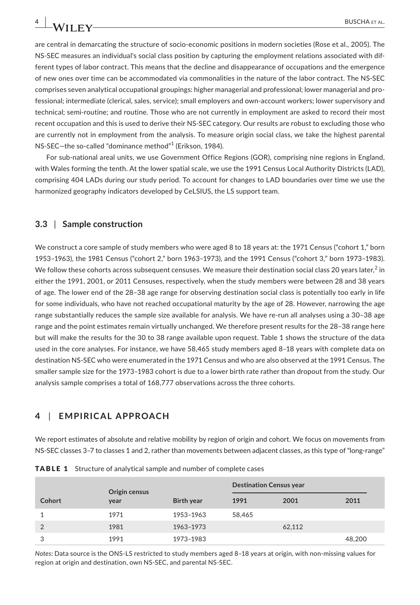are central in demarcating the structure of socio-economic positions in modern societies (Rose et al., 2005). The NS-SEC measures an individual's social class position by capturing the employment relations associated with different types of labor contract. This means that the decline and disappearance of occupations and the emergence of new ones over time can be accommodated via commonalities in the nature of the labor contract. The NS-SEC comprises seven analytical occupational groupings: higher managerial and professional; lower managerial and professional; intermediate (clerical, sales, service); small employers and own-account workers; lower supervisory and technical; semi-routine; and routine. Those who are not currently in employment are asked to record their most recent occupation and this is used to derive their NS-SEC category. Our results are robust to excluding those who are currently not in employment from the analysis. To measure origin social class, we take the highest parental NS-SEC—the so-called "dominance method"<sup>1</sup> (Erikson, 1984).

For sub-national areal units, we use Government Office Regions (GOR), comprising nine regions in England, with Wales forming the tenth. At the lower spatial scale, we use the 1991 Census Local Authority Districts (LAD), comprising 404 LADs during our study period. To account for changes to LAD boundaries over time we use the harmonized geography indicators developed by CeLSIUS, the LS support team.

#### **3.3** | **Sample construction**

We construct a core sample of study members who were aged 8 to 18 years at: the 1971 Census ("cohort 1," born 1953–1963), the 1981 Census ("cohort 2," born 1963–1973), and the 1991 Census ("cohort 3," born 1973–1983). We follow these cohorts across subsequent censuses. We measure their destination social class 20 years later, $^2$  in either the 1991, 2001, or 2011 Censuses, respectively, when the study members were between 28 and 38 years of age. The lower end of the 28–38 age range for observing destination social class is potentially too early in life for some individuals, who have not reached occupational maturity by the age of 28. However, narrowing the age range substantially reduces the sample size available for analysis. We have re-run all analyses using a 30–38 age range and the point estimates remain virtually unchanged. We therefore present results for the 28–38 range here but will make the results for the 30 to 38 range available upon request. Table 1 shows the structure of the data used in the core analyses. For instance, we have 58,465 study members aged 8–18 years with complete data on destination NS-SEC who were enumerated in the 1971 Census and who are also observed at the 1991 Census. The smaller sample size for the 1973–1983 cohort is due to a lower birth rate rather than dropout from the study. Our analysis sample comprises a total of 168,777 observations across the three cohorts.

## **4** | **EMPIRICAL APPROACH**

We report estimates of absolute and relative mobility by region of origin and cohort. We focus on movements from NS-SEC classes 3–7 to classes 1 and 2, rather than movements between adjacent classes, as this type of "long-range"

|                | Origin census |                   | <b>Destination Census year</b> |        |        |
|----------------|---------------|-------------------|--------------------------------|--------|--------|
| Cohort         | year          | <b>Birth year</b> | 1991                           | 2001   | 2011   |
|                | 1971          | 1953-1963         | 58.465                         |        |        |
| $\overline{2}$ | 1981          | 1963-1973         |                                | 62,112 |        |
| 3              | 1991          | 1973-1983         |                                |        | 48,200 |

**TABLE 1** Structure of analytical sample and number of complete cases

*Notes:* Data source is the ONS-LS restricted to study members aged 8–18 years at origin, with non-missing values for region at origin and destination, own NS-SEC, and parental NS-SEC.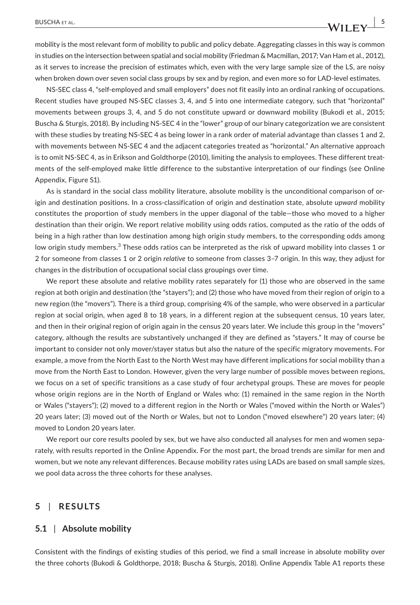mobility is the most relevant form of mobility to public and policy debate. Aggregating classes in this way is common in studies on the intersection between spatial and social mobility (Friedman & Macmillan, 2017; Van Ham et al., 2012), as it serves to increase the precision of estimates which, even with the very large sample size of the LS, are noisy when broken down over seven social class groups by sex and by region, and even more so for LAD-level estimates.

NS-SEC class 4, "self-employed and small employers" does not fit easily into an ordinal ranking of occupations. Recent studies have grouped NS-SEC classes 3, 4, and 5 into one intermediate category, such that "horizontal" movements between groups 3, 4, and 5 do not constitute upward or downward mobility (Bukodi et al., 2015; Buscha & Sturgis, 2018). By including NS-SEC 4 in the "lower" group of our binary categorization we are consistent with these studies by treating NS-SEC 4 as being lower in a rank order of material advantage than classes 1 and 2, with movements between NS-SEC 4 and the adjacent categories treated as "horizontal." An alternative approach is to omit NS-SEC 4, as in Erikson and Goldthorpe (2010), limiting the analysis to employees. These different treatments of the self-employed make little difference to the substantive interpretation of our findings (see Online Appendix, Figure S1).

As is standard in the social class mobility literature, absolute mobility is the unconditional comparison of origin and destination positions. In a cross-classification of origin and destination state, absolute *upward* mobility constitutes the proportion of study members in the upper diagonal of the table—those who moved to a higher destination than their origin. We report relative mobility using odds ratios, computed as the ratio of the odds of being in a high rather than low destination among high origin study members, to the corresponding odds among low origin study members.<sup>3</sup> These odds ratios can be interpreted as the risk of upward mobility into classes 1 or 2 for someone from classes 1 or 2 origin *relative* to someone from classes 3–7 origin. In this way, they adjust for changes in the distribution of occupational social class groupings over time.

We report these absolute and relative mobility rates separately for (1) those who are observed in the same region at both origin and destination (the "stayers"); and (2) those who have moved from their region of origin to a new region (the "movers"). There is a third group, comprising 4% of the sample, who were observed in a particular region at social origin, when aged 8 to 18 years, in a different region at the subsequent census, 10 years later, and then in their original region of origin again in the census 20 years later. We include this group in the "movers" category, although the results are substantively unchanged if they are defined as "stayers." It may of course be important to consider not only mover/stayer status but also the nature of the specific migratory movements. For example, a move from the North East to the North West may have different implications for social mobility than a move from the North East to London. However, given the very large number of possible moves between regions, we focus on a set of specific transitions as a case study of four archetypal groups. These are moves for people whose origin regions are in the North of England or Wales who: (1) remained in the same region in the North or Wales ("stayers"); (2) moved to a different region in the North or Wales ("moved within the North or Wales") 20 years later; (3) moved out of the North or Wales, but not to London ("moved elsewhere") 20 years later; (4) moved to London 20 years later.

We report our core results pooled by sex, but we have also conducted all analyses for men and women separately, with results reported in the Online Appendix. For the most part, the broad trends are similar for men and women, but we note any relevant differences. Because mobility rates using LADs are based on small sample sizes, we pool data across the three cohorts for these analyses.

## **5** | **RESULTS**

## **5.1** | **Absolute mobility**

Consistent with the findings of existing studies of this period, we find a small increase in absolute mobility over the three cohorts (Bukodi & Goldthorpe, 2018; Buscha & Sturgis, 2018). Online Appendix Table A1 reports these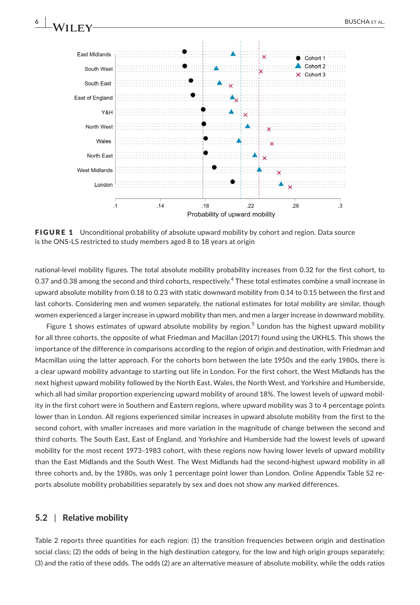

FIGURE 1 Unconditional probability of absolute upward mobility by cohort and region. Data source is the ONS-LS restricted to study members aged 8 to 18 years at origin

national-level mobility figures. The total absolute mobility probability increases from 0.32 for the first cohort, to 0.37 and 0.38 among the second and third cohorts, respectively. $^4$  These total estimates combine a small increase in upward absolute mobility from 0.18 to 0.23 with static downward mobility from 0.14 to 0.15 between the first and last cohorts. Considering men and women separately, the national estimates for total mobility are similar, though women experienced a larger increase in upward mobility than men, and men a larger increase in downward mobility.

Figure 1 shows estimates of upward absolute mobility by region.<sup>5</sup> London has the highest upward mobility for all three cohorts, the opposite of what Friedman and Macillan (2017) found using the UKHLS. This shows the importance of the difference in comparisons according to the region of origin and destination, with Friedman and Macmillan using the latter approach. For the cohorts born between the late 1950s and the early 1980s, there is a clear upward mobility advantage to starting out life in London. For the first cohort, the West Midlands has the next highest upward mobility followed by the North East, Wales, the North West, and Yorkshire and Humberside, which all had similar proportion experiencing upward mobility of around 18%. The lowest levels of upward mobility in the first cohort were in Southern and Eastern regions, where upward mobility was 3 to 4 percentage points lower than in London. All regions experienced similar increases in upward absolute mobility from the first to the second cohort, with smaller increases and more variation in the magnitude of change between the second and third cohorts. The South East, East of England, and Yorkshire and Humberside had the lowest levels of upward mobility for the most recent 1973–1983 cohort, with these regions now having lower levels of upward mobility than the East Midlands and the South West. The West Midlands had the second-highest upward mobility in all three cohorts and, by the 1980s, was only 1 percentage point lower than London. Online Appendix Table S2 reports absolute mobility probabilities separately by sex and does not show any marked differences.

## **5.2** | **Relative mobility**

Table 2 reports three quantities for each region: (1) the transition frequencies between origin and destination social class; (2) the odds of being in the high destination category, for the low and high origin groups separately; (3) and the ratio of these odds. The odds (2) are an alternative measure of absolute mobility, while the odds ratios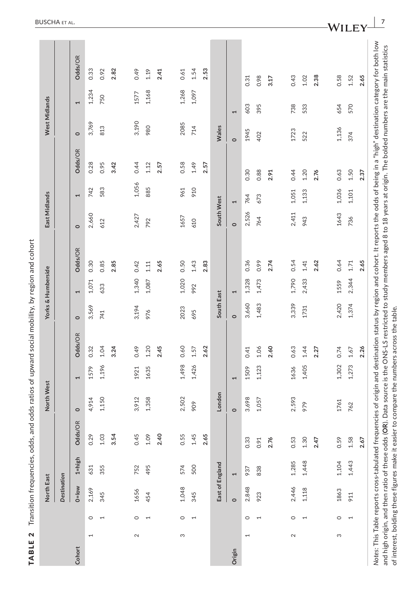|                   |                          | North East  |                 |                                                                                                                                                                                    | North West |                         |         |            | Yorks & Humberside      |         | East Midlands |                |         | West Midlands |                       |                                                                                                                                                                                         |
|-------------------|--------------------------|-------------|-----------------|------------------------------------------------------------------------------------------------------------------------------------------------------------------------------------|------------|-------------------------|---------|------------|-------------------------|---------|---------------|----------------|---------|---------------|-----------------------|-----------------------------------------------------------------------------------------------------------------------------------------------------------------------------------------|
|                   |                          | Destination |                 |                                                                                                                                                                                    |            |                         |         |            |                         |         |               |                |         |               |                       |                                                                                                                                                                                         |
| Cohort            |                          | $0 = 1$ ow  | $1 = h$ igh     | $\widetilde{\mathbb{R}}$<br>Odds/C                                                                                                                                                 | $\circ$    | 1                       | Odds/OR | $\circ$    | 1                       | Odds/OR | $\circ$       | 1              | Odds/OR | $\circ$       | $\blacktriangleright$ | Odds/OR                                                                                                                                                                                 |
| 1                 | $\circ$                  | 2,169       | 631             | 0.29                                                                                                                                                                               | 4,914      | 1579                    | 0.32    | 3,569      | 1,071                   | 0.30    | 2,660         | 742            | 0.28    | 3,769         | 1,234                 | 0.33                                                                                                                                                                                    |
|                   | $\overline{ }$           | 345         | 355             | 1.03                                                                                                                                                                               | 1,150      | 1,196                   | 1.04    | 741        | 633                     | 0.85    | 612           | 583            | 0.95    | 813           | 750                   | 0.92                                                                                                                                                                                    |
|                   |                          |             |                 | 3.54                                                                                                                                                                               |            |                         | 3.24    |            |                         | 2.85    |               |                | 3.42    |               |                       | 2.82                                                                                                                                                                                    |
| $\mathbf{\Omega}$ | $\circ$                  | 1656        | 752             | 0.45                                                                                                                                                                               | 3,912      | 1921                    | 0.49    | 3,194      | 1,340                   | 0.42    | 2,427         | 1,056          | 0.44    | 3,190         | 1577                  | 0.49                                                                                                                                                                                    |
|                   | $\overline{ }$           | 454         | 495             | 1.09                                                                                                                                                                               | 1,358      | 1635                    | 1.20    | 976        | 1,087                   | 1.11    | 792           | 885            | 1.12    | 980           | 1,168                 | 1.19                                                                                                                                                                                    |
|                   |                          |             |                 | 2.40                                                                                                                                                                               |            |                         | 2.45    |            |                         | 2.65    |               |                | 2.57    |               |                       | 2.41                                                                                                                                                                                    |
| S                 | $\circ$                  | 1,048       | 574             | 0.55                                                                                                                                                                               | 2,502      | 1,498                   | 0.60    | 2023       | 1,020                   | 0.50    | 1657          | 961            | 0.58    | 2085          | 1,268                 | 0.61                                                                                                                                                                                    |
|                   | $\overline{ }$           | 345         | 500             | 1.45                                                                                                                                                                               | 909        | 1,426                   | 1.57    | 695        | 992                     | 1.43    | 610           | 910            | 1.49    | 714           | 1,097                 | 1.54                                                                                                                                                                                    |
|                   |                          |             |                 | 2.65                                                                                                                                                                               |            |                         | 2.62    |            |                         | 2.83    |               |                | 2.57    |               |                       | 2.53                                                                                                                                                                                    |
|                   |                          |             | East of England |                                                                                                                                                                                    | London     |                         |         | South East |                         |         | South West    |                |         | Wales         |                       |                                                                                                                                                                                         |
| Origin            |                          | $\circ$     |                 |                                                                                                                                                                                    | $\circ$    | $\mathbf{\overline{1}}$ |         | $\circ$    | $\mathbf{\overline{1}}$ |         | $\circ$       | $\overline{ }$ |         | $\circ$       | 1                     |                                                                                                                                                                                         |
| $\overline{ }$    | $\circ$                  | 2,848       | 937             | 0.33                                                                                                                                                                               | 3,698      | 1509                    | 0.41    | 3,660      | 1,328                   | 0.36    | 2,526         | 764            | 0.30    | 1945          | 603                   | 0.31                                                                                                                                                                                    |
|                   | 1                        | 923         | 838             | 0.91                                                                                                                                                                               | 1,057      | 1,123                   | 1.06    | 1,483      | 1,473                   | 0.99    | 764           | 673            | 0.88    | 402           | 395                   | 0.98                                                                                                                                                                                    |
|                   |                          |             |                 | 2.76                                                                                                                                                                               |            |                         | 2.60    |            |                         | 2.74    |               |                | 2.91    |               |                       | 3.17                                                                                                                                                                                    |
| $\sim$            | $\circ$                  | 2,446       | 1,285           | 0.53                                                                                                                                                                               | 2,593      | 1636                    | 0.63    | 3,339      | 1,790                   | 0.54    | 2,411         | 1,051          | 0.44    | 1723          | 738                   | 0.43                                                                                                                                                                                    |
|                   | $\overline{\phantom{0}}$ | 1,118       | 1,448           | 1.30                                                                                                                                                                               | 979        | 1,405                   | 1.44    | 1731       | 2,433                   | 1.41    | 943           | 1,133          | 1.20    | 522           | 533                   | 1.02                                                                                                                                                                                    |
|                   |                          |             |                 | 2.47                                                                                                                                                                               |            |                         | 2.27    |            |                         | 2.62    |               |                | 2.76    |               |                       | 2.38                                                                                                                                                                                    |
| S                 | $\circ$                  | 1863        | 1,104           | 0.59                                                                                                                                                                               | 1761       | 1,302                   | 0.74    | 2,420      | 1559                    | 0.64    | 1643          | 1,036          | 0.63    | 1,136         | 654                   | 0.58                                                                                                                                                                                    |
|                   | $\overline{\phantom{a}}$ | 911         | 1,443           | 1.58                                                                                                                                                                               | 762        | 1,273                   | 1.67    | 1,374      | 2,344                   | 1.71    | 736           | 1,101          | 1.50    | 374           | 570                   | 1.52                                                                                                                                                                                    |
|                   |                          |             |                 | 2.67                                                                                                                                                                               |            |                         | 2.26    |            |                         | 2.65    |               |                | 2.37    |               |                       | 2.65                                                                                                                                                                                    |
|                   |                          |             |                 | and high origin, and then ratio of these odds (OR). Data source is the ONS-LS restricted to study members aged 8 to 18 years at origin. The bolded numbers are the main statistics |            |                         |         |            |                         |         |               |                |         |               |                       | Notes: This Table reports cross-tabulated frequencies of origin and destination status by region and cohort. It reports the odds of being in a "high" destination category for both low |

<code>TABLE 2 Transition</code> frequencies, odds, and odds ratios of upward social mobility, by region and cohort

TABLE 2 Transition frequencies, odds, and odds ratios of upward social mobility, by region and cohort

and high origin, and then ratio of these odds (OR). Data source is the ONS-LS restricted to<br>of interest, bolding these figures make it easier to compare the numbers across the table. of interest, bolding these figures make it easier to compare the numbers across the table.ž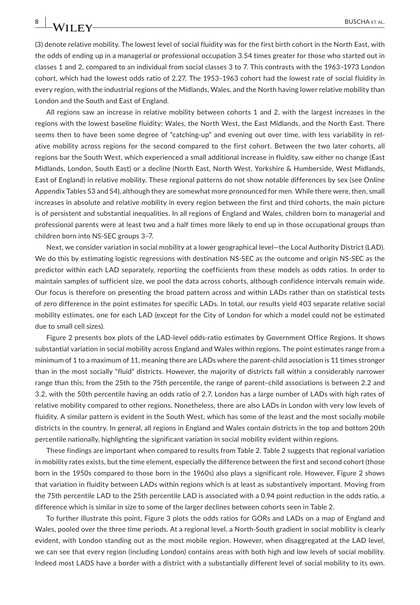(3) denote relative mobility. The lowest level of social fluidity was for the first birth cohort in the North East, with the odds of ending up in a managerial or professional occupation 3.54 times greater for those who started out in classes 1 and 2, compared to an individual from social classes 3 to 7. This contrasts with the 1963–1973 London cohort, which had the lowest odds ratio of 2.27. The 1953–1963 cohort had the lowest rate of social fluidity in every region, with the industrial regions of the Midlands, Wales, and the North having lower relative mobility than London and the South and East of England.

All regions saw an increase in relative mobility between cohorts 1 and 2, with the largest increases in the regions with the lowest baseline fluidity: Wales, the North West, the East Midlands, and the North East. There seems then to have been some degree of "catching-up" and evening out over time, with less variability in relative mobility across regions for the second compared to the first cohort. Between the two later cohorts, all regions bar the South West, which experienced a small additional increase in fluidity, saw either no change (East Midlands, London, South East) or a decline (North East, North West, Yorkshire & Humberside, West Midlands, East of England) in relative mobility. These regional patterns do not show notable differences by sex (see Online Appendix Tables S3 and S4), although they are somewhat more pronounced for men. While there were, then, small increases in absolute and relative mobility in every region between the first and third cohorts, the main picture is of persistent and substantial inequalities. In all regions of England and Wales, children born to managerial and professional parents were at least two and a half times more likely to end up in those occupational groups than children born into NS-SEC groups 3–7.

Next, we consider variation in social mobility at a lower geographical level—the Local Authority District (LAD). We do this by estimating logistic regressions with destination NS-SEC as the outcome and origin NS-SEC as the predictor within each LAD separately, reporting the coefficients from these models as odds ratios. In order to maintain samples of sufficient size, we pool the data across cohorts, although confidence intervals remain wide. Our focus is therefore on presenting the broad pattern across and within LADs rather than on statistical tests of zero difference in the point estimates for specific LADs. In total, our results yield 403 separate relative social mobility estimates, one for each LAD (except for the City of London for which a model could not be estimated due to small cell sizes).

Figure 2 presents box plots of the LAD-level odds-ratio estimates by Government Office Regions. It shows substantial variation in social mobility across England and Wales within regions. The point estimates range from a minimum of 1 to a maximum of 11, meaning there are LADs where the parent-child association is 11 times stronger than in the most socially "fluid" districts. However, the majority of districts fall within a considerably narrower range than this; from the 25th to the 75th percentile, the range of parent–child associations is between 2.2 and 3.2, with the 50th percentile having an odds ratio of 2.7. London has a large number of LADs with high rates of relative mobility compared to other regions. Nonetheless, there are also LADs in London with very low levels of fluidity. A similar pattern is evident in the South West, which has some of the least and the most socially mobile districts in the country. In general, all regions in England and Wales contain districts in the top and bottom 20th percentile nationally, highlighting the significant variation in social mobility evident within regions.

These findings are important when compared to results from Table 2. Table 2 suggests that regional variation in mobility rates exists, but the time element, especially the difference between the first and second cohort (those born in the 1950s compared to those born in the 1960s) also plays a significant role. However, Figure 2 shows that variation in fluidity between LADs within regions which is at least as substantively important. Moving from the 75th percentile LAD to the 25th percentile LAD is associated with a 0.94 point reduction in the odds ratio, a difference which is similar in size to some of the larger declines between cohorts seen in Table 2.

To further illustrate this point, Figure 3 plots the odds ratios for GORs and LADs on a map of England and Wales, pooled over the three time periods. At a regional level, a North-South gradient in social mobility is clearly evident, with London standing out as the most mobile region. However, when disaggregated at the LAD level, we can see that every region (including London) contains areas with both high and low levels of social mobility. Indeed most LADS have a border with a district with a substantially different level of social mobility to its own.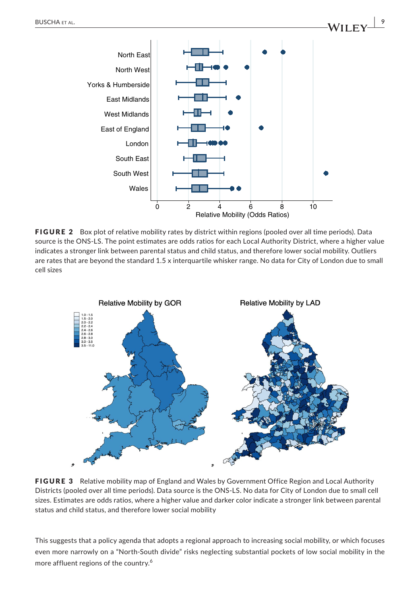

FIGURE 2 Box plot of relative mobility rates by district within regions (pooled over all time periods). Data source is the ONS-LS. The point estimates are odds ratios for each Local Authority District, where a higher value indicates a stronger link between parental status and child status, and therefore lower social mobility. Outliers are rates that are beyond the standard 1.5 x interquartile whisker range. No data for City of London due to small cell sizes



FIGURE 3 Relative mobility map of England and Wales by Government Office Region and Local Authority Districts (pooled over all time periods). Data source is the ONS-LS. No data for City of London due to small cell sizes. Estimates are odds ratios, where a higher value and darker color indicate a stronger link between parental status and child status, and therefore lower social mobility

This suggests that a policy agenda that adopts a regional approach to increasing social mobility, or which focuses even more narrowly on a "North-South divide" risks neglecting substantial pockets of low social mobility in the more affluent regions of the country.<sup>6</sup>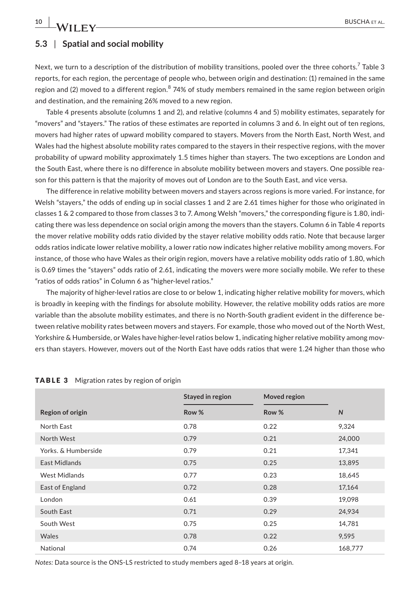## **5.3** | **Spatial and social mobility**

Next, we turn to a description of the distribution of mobility transitions, pooled over the three cohorts.<sup>7</sup> Table 3 reports, for each region, the percentage of people who, between origin and destination: (1) remained in the same region and (2) moved to a different region.<sup>8</sup> 74% of study members remained in the same region between origin and destination, and the remaining 26% moved to a new region.

Table 4 presents absolute (columns 1 and 2), and relative (columns 4 and 5) mobility estimates, separately for "movers" and "stayers." The ratios of these estimates are reported in columns 3 and 6. In eight out of ten regions, movers had higher rates of upward mobility compared to stayers. Movers from the North East, North West, and Wales had the highest absolute mobility rates compared to the stayers in their respective regions, with the mover probability of upward mobility approximately 1.5 times higher than stayers. The two exceptions are London and the South East, where there is no difference in absolute mobility between movers and stayers. One possible reason for this pattern is that the majority of moves out of London are to the South East, and vice versa.

The difference in relative mobility between movers and stayers across regions is more varied. For instance, for Welsh "stayers," the odds of ending up in social classes 1 and 2 are 2.61 times higher for those who originated in classes 1 & 2 compared to those from classes 3 to 7. Among Welsh "movers," the corresponding figure is 1.80, indicating there was less dependence on social origin among the movers than the stayers. Column 6 in Table 4 reports the mover relative mobility odds ratio divided by the stayer relative mobility odds ratio. Note that because larger odds ratios indicate lower relative mobility, a lower ratio now indicates higher relative mobility among movers. For instance, of those who have Wales as their origin region, movers have a relative mobility odds ratio of 1.80, which is 0.69 times the "stayers" odds ratio of 2.61, indicating the movers were more socially mobile. We refer to these "ratios of odds ratios" in Column 6 as "higher-level ratios."

The majority of higher-level ratios are close to or below 1, indicating higher relative mobility for movers, which is broadly in keeping with the findings for absolute mobility. However, the relative mobility odds ratios are more variable than the absolute mobility estimates, and there is no North-South gradient evident in the difference between relative mobility rates between movers and stayers. For example, those who moved out of the North West, Yorkshire & Humberside, or Wales have higher-level ratios below 1, indicating higher relative mobility among movers than stayers. However, movers out of the North East have odds ratios that were 1.24 higher than those who

|                      | Stayed in region | Moved region |         |
|----------------------|------------------|--------------|---------|
| Region of origin     | Row %            | Row %        | N       |
| North East           | 0.78             | 0.22         | 9,324   |
| North West           | 0.79             | 0.21         | 24,000  |
| Yorks, & Humberside  | 0.79             | 0.21         | 17,341  |
| East Midlands        | 0.75             | 0.25         | 13,895  |
| <b>West Midlands</b> | 0.77             | 0.23         | 18,645  |
| East of England      | 0.72             | 0.28         | 17,164  |
| London               | 0.61             | 0.39         | 19,098  |
| South East           | 0.71             | 0.29         | 24,934  |
| South West           | 0.75             | 0.25         | 14,781  |
| Wales                | 0.78             | 0.22         | 9.595   |
| National             | 0.74             | 0.26         | 168,777 |

#### TABLE 3 Migration rates by region of origin

*Notes:* Data source is the ONS-LS restricted to study members aged 8–18 years at origin.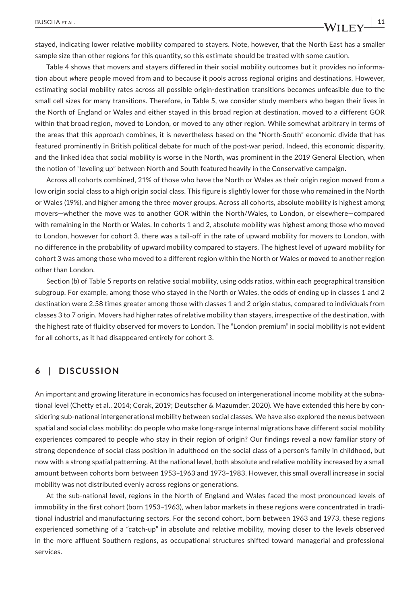stayed, indicating lower relative mobility compared to stayers. Note, however, that the North East has a smaller sample size than other regions for this quantity, so this estimate should be treated with some caution.

Table 4 shows that movers and stayers differed in their social mobility outcomes but it provides no information about *where* people moved from and to because it pools across regional origins and destinations. However, estimating social mobility rates across all possible origin-destination transitions becomes unfeasible due to the small cell sizes for many transitions. Therefore, in Table 5, we consider study members who began their lives in the North of England or Wales and either stayed in this broad region at destination, moved to a different GOR within that broad region, moved to London, or moved to any other region. While somewhat arbitrary in terms of the areas that this approach combines, it is nevertheless based on the "North-South" economic divide that has featured prominently in British political debate for much of the post-war period. Indeed, this economic disparity, and the linked idea that social mobility is worse in the North, was prominent in the 2019 General Election, when the notion of "leveling up" between North and South featured heavily in the Conservative campaign.

Across all cohorts combined, 21% of those who have the North or Wales as their origin region moved from a low origin social class to a high origin social class. This figure is slightly lower for those who remained in the North or Wales (19%), and higher among the three mover groups. Across all cohorts, absolute mobility is highest among movers—whether the move was to another GOR within the North/Wales, to London, or elsewhere—compared with remaining in the North or Wales. In cohorts 1 and 2, absolute mobility was highest among those who moved to London, however for cohort 3, there was a tail-off in the rate of upward mobility for movers to London, with no difference in the probability of upward mobility compared to stayers. The highest level of upward mobility for cohort 3 was among those who moved to a different region within the North or Wales or moved to another region other than London.

Section (b) of Table 5 reports on relative social mobility, using odds ratios, within each geographical transition subgroup. For example, among those who stayed in the North or Wales, the odds of ending up in classes 1 and 2 destination were 2.58 times greater among those with classes 1 and 2 origin status, compared to individuals from classes 3 to 7 origin. Movers had higher rates of relative mobility than stayers, irrespective of the destination, with the highest rate of fluidity observed for movers to London. The "London premium" in social mobility is not evident for all cohorts, as it had disappeared entirely for cohort 3.

# **6** | **DISCUSSION**

An important and growing literature in economics has focused on intergenerational income mobility at the subnational level (Chetty et al., 2014; Corak, 2019; Deutscher & Mazumder, 2020). We have extended this here by considering sub-national intergenerational mobility between social classes. We have also explored the nexus between spatial and social class mobility: do people who make long-range internal migrations have different social mobility experiences compared to people who stay in their region of origin? Our findings reveal a now familiar story of strong dependence of social class position in adulthood on the social class of a person's family in childhood, but now with a strong spatial patterning. At the national level, both absolute and relative mobility increased by a small amount between cohorts born between 1953–1963 and 1973–1983. However, this small overall increase in social mobility was not distributed evenly across regions or generations.

At the sub-national level, regions in the North of England and Wales faced the most pronounced levels of immobility in the first cohort (born 1953–1963), when labor markets in these regions were concentrated in traditional industrial and manufacturing sectors. For the second cohort, born between 1963 and 1973, these regions experienced something of a "catch-up" in absolute and relative mobility, moving closer to the levels observed in the more affluent Southern regions, as occupational structures shifted toward managerial and professional services.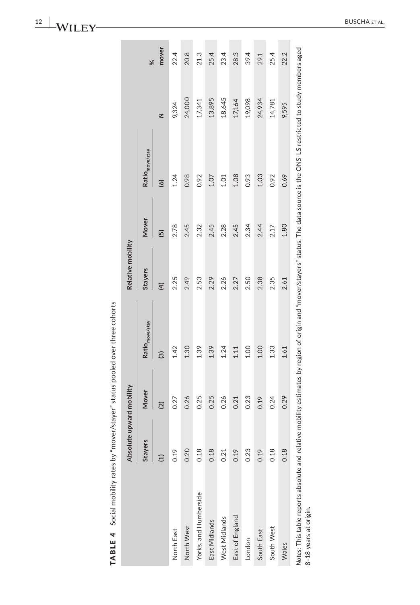| くこう でんこうりょう こまりせい   |
|---------------------|
|                     |
|                     |
|                     |
| 5                   |
|                     |
|                     |
|                     |
|                     |
| )<br>5<br>5         |
|                     |
| $\frac{1}{2}$       |
| $\frac{1}{2}$       |
|                     |
|                     |
|                     |
| ì                   |
|                     |
|                     |
|                     |
|                     |
|                     |
|                     |
|                     |
|                     |
|                     |
|                     |
| Í                   |
|                     |
| י<br>נוב<br>TABLE 4 |
|                     |
|                     |
|                     |
|                     |
|                     |

|                                                                          | Absolute upward mobility |                |                            | Relative mobility |                |                                                                                                                                   |        |           |
|--------------------------------------------------------------------------|--------------------------|----------------|----------------------------|-------------------|----------------|-----------------------------------------------------------------------------------------------------------------------------------|--------|-----------|
|                                                                          | <b>Stayers</b>           | Mover          | Ratio <sub>move/stay</sub> | <b>Stayers</b>    | Mover          | Ratio <sub>move/stay</sub>                                                                                                        |        | $\approx$ |
|                                                                          | Ξ                        | $\overline{2}$ | $\widehat{\mathfrak{S}}$   | $\widehat{H}$     | $\overline{5}$ | $\odot$                                                                                                                           | z      | mover     |
| North East                                                               | 0.19                     | 0.27           | 1.42                       | 2.25              | 2.78           | 1.24                                                                                                                              | 9,324  | 22.4      |
| North West                                                               | 0.20                     | 0.26           | 1.30                       | 2.49              | 2.45           | 0.98                                                                                                                              | 24,000 | 20.8      |
| Yorks. and Humberside                                                    | 0.18                     | 0.25           | 1.39                       | 2.53              | 2.32           | 0.92                                                                                                                              | 17,341 | 21.3      |
| East Midlands                                                            | 0.18                     | 0.25           | 1.39                       | 2.29              | 2.45           | 1.07                                                                                                                              | 13,895 | 25.4      |
| West Midlands                                                            | 0.21                     | 0.26           | 1.24                       | 2.26              | 2.28           | 1.01                                                                                                                              | 18,645 | 23.4      |
| East of England                                                          | 0.19                     | 0.21           | 1.11                       | 2.27              | 2.45           | 1.08                                                                                                                              | 17,164 | 28.3      |
| London                                                                   | 0.23                     | 0.23           | 1.00                       | 2.50              | 2.34           | 0.93                                                                                                                              | 19,098 | 39.4      |
| South East                                                               | 0.19                     | 0.19           | 1.00                       | 2.38              | 2.44           | 1.03                                                                                                                              | 24,934 | 29.1      |
| South West                                                               | 0.18                     | 0.24           | 1.33                       | 2.35              | 2.17           | 0.92                                                                                                                              | 14,781 | 25.4      |
| Wales                                                                    | 0.18                     | 0.29           | 1.61                       | 2.61              | 1.80           | 0.69                                                                                                                              | 9,595  | 22.2      |
| Notes: This table reports absolute and relative<br>8-18 years at origin. |                          |                |                            |                   |                | mobility estimates by region of origin and "mover/stayers" status. The data source is the ONS-LS restricted to study members aged |        |           |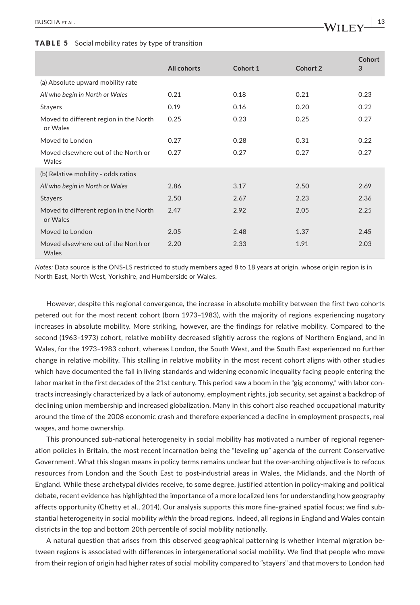#### TABLE 5 Social mobility rates by type of transition

|                                                    |             |          |          | Cohort |
|----------------------------------------------------|-------------|----------|----------|--------|
|                                                    | All cohorts | Cohort 1 | Cohort 2 | 3      |
| (a) Absolute upward mobility rate                  |             |          |          |        |
| All who begin in North or Wales                    | 0.21        | 0.18     | 0.21     | 0.23   |
| <b>Stayers</b>                                     | 0.19        | 0.16     | 0.20     | 0.22   |
| Moved to different region in the North<br>or Wales | 0.25        | 0.23     | 0.25     | 0.27   |
| Moved to London                                    | 0.27        | 0.28     | 0.31     | 0.22   |
| Moved elsewhere out of the North or<br>Wales       | 0.27        | 0.27     | 0.27     | 0.27   |
| (b) Relative mobility - odds ratios                |             |          |          |        |
| All who begin in North or Wales                    | 2.86        | 3.17     | 2.50     | 2.69   |
| <b>Stayers</b>                                     | 2.50        | 2.67     | 2.23     | 2.36   |
| Moved to different region in the North<br>or Wales | 2.47        | 2.92     | 2.05     | 2.25   |
| Moved to London                                    | 2.05        | 2.48     | 1.37     | 2.45   |
| Moved elsewhere out of the North or<br>Wales       | 2.20        | 2.33     | 1.91     | 2.03   |

*Notes:* Data source is the ONS-LS restricted to study members aged 8 to 18 years at origin, whose origin region is in North East, North West, Yorkshire, and Humberside or Wales.

However, despite this regional convergence, the increase in absolute mobility between the first two cohorts petered out for the most recent cohort (born 1973–1983), with the majority of regions experiencing nugatory increases in absolute mobility. More striking, however, are the findings for relative mobility. Compared to the second (1963–1973) cohort, relative mobility decreased slightly across the regions of Northern England, and in Wales, for the 1973–1983 cohort, whereas London, the South West, and the South East experienced no further change in relative mobility. This stalling in relative mobility in the most recent cohort aligns with other studies which have documented the fall in living standards and widening economic inequality facing people entering the labor market in the first decades of the 21st century. This period saw a boom in the "gig economy," with labor contracts increasingly characterized by a lack of autonomy, employment rights, job security, set against a backdrop of declining union membership and increased globalization. Many in this cohort also reached occupational maturity around the time of the 2008 economic crash and therefore experienced a decline in employment prospects, real wages, and home ownership.

This pronounced sub-national heterogeneity in social mobility has motivated a number of regional regeneration policies in Britain, the most recent incarnation being the "leveling up" agenda of the current Conservative Government. What this slogan means in policy terms remains unclear but the over-arching objective is to refocus resources from London and the South East to post-industrial areas in Wales, the Midlands, and the North of England. While these archetypal divides receive, to some degree, justified attention in policy-making and political debate, recent evidence has highlighted the importance of a more localized lens for understanding how geography affects opportunity (Chetty et al., 2014). Our analysis supports this more fine-grained spatial focus; we find substantial heterogeneity in social mobility *within* the broad regions. Indeed, all regions in England and Wales contain districts in the top and bottom 20th percentile of social mobility nationally.

A natural question that arises from this observed geographical patterning is whether internal migration between regions is associated with differences in intergenerational social mobility. We find that people who move from their region of origin had higher rates of social mobility compared to "stayers" and that movers to London had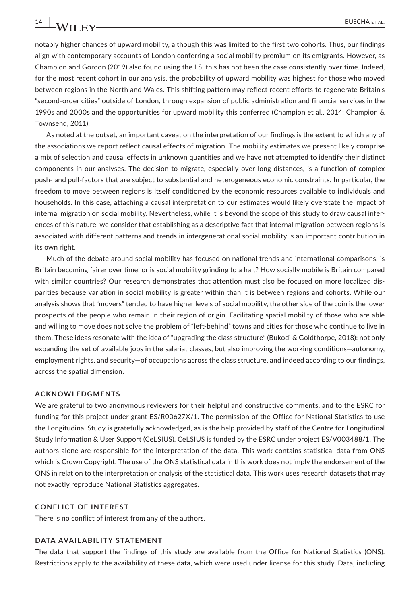notably higher chances of upward mobility, although this was limited to the first two cohorts. Thus, our findings align with contemporary accounts of London conferring a social mobility premium on its emigrants. However, as Champion and Gordon (2019) also found using the LS, this has not been the case consistently over time. Indeed, for the most recent cohort in our analysis, the probability of upward mobility was highest for those who moved between regions in the North and Wales. This shifting pattern may reflect recent efforts to regenerate Britain's "second-order cities" outside of London, through expansion of public administration and financial services in the 1990s and 2000s and the opportunities for upward mobility this conferred (Champion et al., 2014; Champion & Townsend, 2011).

As noted at the outset, an important caveat on the interpretation of our findings is the extent to which any of the associations we report reflect causal effects of migration. The mobility estimates we present likely comprise a mix of selection and causal effects in unknown quantities and we have not attempted to identify their distinct components in our analyses. The decision to migrate, especially over long distances, is a function of complex push- and pull-factors that are subject to substantial and heterogeneous economic constraints. In particular, the freedom to move between regions is itself conditioned by the economic resources available to individuals and households. In this case, attaching a causal interpretation to our estimates would likely overstate the impact of internal migration on social mobility. Nevertheless, while it is beyond the scope of this study to draw causal inferences of this nature, we consider that establishing as a descriptive fact that internal migration between regions is associated with different patterns and trends in intergenerational social mobility is an important contribution in its own right.

Much of the debate around social mobility has focused on national trends and international comparisons: is Britain becoming fairer over time, or is social mobility grinding to a halt? How socially mobile is Britain compared with similar countries? Our research demonstrates that attention must also be focused on more localized disparities because variation in social mobility is greater within than it is between regions and cohorts. While our analysis shows that "movers" tended to have higher levels of social mobility, the other side of the coin is the lower prospects of the people who remain in their region of origin. Facilitating spatial mobility of those who are able and willing to move does not solve the problem of "left-behind" towns and cities for those who continue to live in them. These ideas resonate with the idea of "upgrading the class structure" (Bukodi & Goldthorpe, 2018): not only expanding the set of available jobs in the salariat classes, but also improving the working conditions—autonomy, employment rights, and security—of occupations across the class structure, and indeed according to our findings, across the spatial dimension.

#### **ACKNOWLEDGMENTS**

We are grateful to two anonymous reviewers for their helpful and constructive comments, and to the ESRC for funding for this project under grant ES/R00627X/1. The permission of the Office for National Statistics to use the Longitudinal Study is gratefully acknowledged, as is the help provided by staff of the Centre for Longitudinal Study Information & User Support (CeLSIUS). CeLSIUS is funded by the ESRC under project ES/V003488/1. The authors alone are responsible for the interpretation of the data. This work contains statistical data from ONS which is Crown Copyright. The use of the ONS statistical data in this work does not imply the endorsement of the ONS in relation to the interpretation or analysis of the statistical data. This work uses research datasets that may not exactly reproduce National Statistics aggregates.

#### **CONFLICT OF INTEREST**

There is no conflict of interest from any of the authors.

#### **DATA AVAILABILITY STATEMENT**

The data that support the findings of this study are available from the Office for National Statistics (ONS). Restrictions apply to the availability of these data, which were used under license for this study. Data, including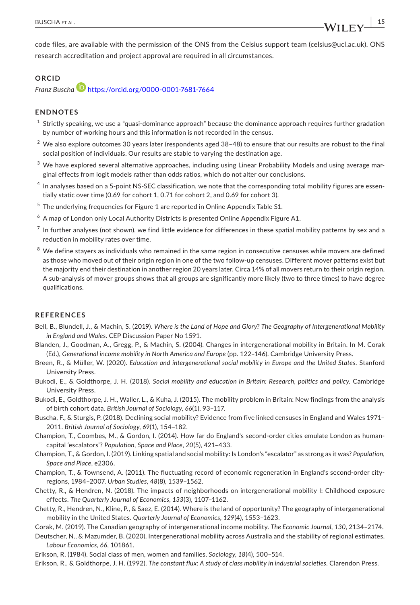**|** BUSCHA et al. **15**

code files, are available with the permission of the ONS from the Celsius support team ([celsius@ucl.ac.uk\)](mailto:celsius@ucl.ac.uk). ONS research accreditation and project approval are required in all circumstances.

#### **ORCID**

*Franz Buscha* <https://orcid.org/0000-0001-7681-7664>

## **ENDNOTES**

- $1$  Strictly speaking, we use a "quasi-dominance approach" because the dominance approach requires further gradation by number of working hours and this information is not recorded in the census.
- $2$  We also explore outcomes 30 years later (respondents aged 38-48) to ensure that our results are robust to the final social position of individuals. Our results are stable to varying the destination age.
- $3$  We have explored several alternative approaches, including using Linear Probability Models and using average marginal effects from logit models rather than odds ratios, which do not alter our conclusions.
- <sup>4</sup> In analyses based on a 5-point NS-SEC classification, we note that the corresponding total mobility figures are essentially static over time (0.69 for cohort 1, 0.71 for cohort 2, and 0.69 for cohort 3).
- <sup>5</sup> The underlying frequencies for Figure 1 are reported in Online Appendix Table S1.
- $^6$  A map of London only Local Authority Districts is presented Online Appendix Figure A1.
- $<sup>7</sup>$  In further analyses (not shown), we find little evidence for differences in these spatial mobility patterns by sex and a</sup> reduction in mobility rates over time.
- We define stayers as individuals who remained in the same region in consecutive censuses while movers are defined as those who moved out of their origin region in one of the two follow-up censuses. Different mover patterns exist but the majority end their destination in another region 20 years later. Circa 14% of all movers return to their origin region. A sub-analysis of mover groups shows that all groups are significantly more likely (two to three times) to have degree qualifications.

## **REFERENCES**

- Bell, B., Blundell, J., & Machin, S. (2019). *Where is the Land of Hope and Glory? The Geography of Intergenerational Mobility in England and Wales*. CEP Discussion Paper No 1591.
- Blanden, J., Goodman, A., Gregg, P., & Machin, S. (2004). Changes in intergenerational mobility in Britain. In M. Corak (Ed.), *Generational income mobility in North America and Europe* (pp. 122–146). Cambridge University Press.
- Breen, R., & Müller, W. (2020). *Education and intergenerational social mobility in Europe and the United States*. Stanford University Press.
- Bukodi, E., & Goldthorpe, J. H. (2018). *Social mobility and education in Britain: Research, politics and policy*. Cambridge University Press.
- Bukodi, E., Goldthorpe, J. H., Waller, L., & Kuha, J. (2015). The mobility problem in Britain: New findings from the analysis of birth cohort data. *British Journal of Sociology*, *66*(1), 93–117.
- Buscha, F., & Sturgis, P. (2018). Declining social mobility? Evidence from five linked censuses in England and Wales 1971– 2011. *British Journal of Sociology*, *69*(1), 154–182.
- Champion, T., Coombes, M., & Gordon, I. (2014). How far do England's second-order cities emulate London as humancapital 'escalators'? *Population, Space and Place*, *20*(5), 421–433.
- Champion, T., & Gordon, I. (2019). Linking spatial and social mobility: Is London's "escalator" as strong as it was? *Population, Space and Place*, e2306.
- Champion, T., & Townsend, A. (2011). The fluctuating record of economic regeneration in England's second-order cityregions, 1984–2007. *Urban Studies*, *48*(8), 1539–1562.
- Chetty, R., & Hendren, N. (2018). The impacts of neighborhoods on intergenerational mobility I: Childhood exposure effects. *The Quarterly Journal of Economics*, *133*(3), 1107–1162.
- Chetty, R., Hendren, N., Kline, P., & Saez, E. (2014). Where is the land of opportunity? The geography of intergenerational mobility in the United States. *Quarterly Journal of Economics*, *129*(4), 1553–1623.
- Corak, M. (2019). The Canadian geography of intergenerational income mobility. *The Economic Journal*, *130*, 2134–2174.

Deutscher, N., & Mazumder, B. (2020). Intergenerational mobility across Australia and the stability of regional estimates. *Labour Economics*, *66*, 101861.

Erikson, R. (1984). Social class of men, women and families. *Sociology*, *18*(4), 500–514.

Erikson, R., & Goldthorpe, J. H. (1992). *The constant flux: A study of class mobility in industrial societies*. Clarendon Press.